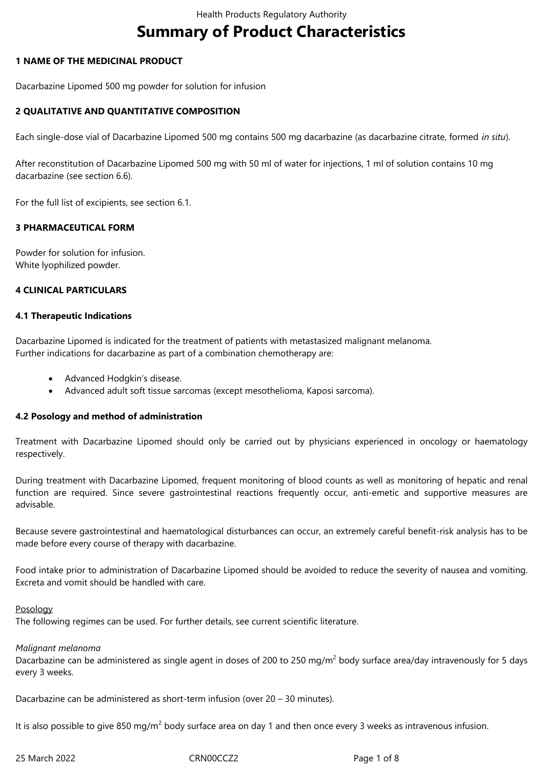# **Summary of Product Characteristics**

# **1 NAME OF THE MEDICINAL PRODUCT**

Dacarbazine Lipomed 500 mg powder for solution for infusion

# **2 QUALITATIVE AND QUANTITATIVE COMPOSITION**

Each single-dose vial of Dacarbazine Lipomed 500 mg contains 500 mg dacarbazine (as dacarbazine citrate, formed *in situ*).

After reconstitution of Dacarbazine Lipomed 500 mg with 50 ml of water for injections, 1 ml of solution contains 10 mg dacarbazine (see section 6.6).

For the full list of excipients, see section 6.1.

# **3 PHARMACEUTICAL FORM**

Powder for solution for infusion. White lyophilized powder.

# **4 CLINICAL PARTICULARS**

# **4.1 Therapeutic Indications**

Dacarbazine Lipomed is indicated for the treatment of patients with metastasized malignant melanoma. Further indications for dacarbazine as part of a combination chemotherapy are:

- Advanced Hodgkin's disease.
- Advanced adult soft tissue sarcomas (except mesothelioma, Kaposi sarcoma).

# **4.2 Posology and method of administration**

Treatment with Dacarbazine Lipomed should only be carried out by physicians experienced in oncology or haematology respectively.

During treatment with Dacarbazine Lipomed, frequent monitoring of blood counts as well as monitoring of hepatic and renal function are required. Since severe gastrointestinal reactions frequently occur, anti-emetic and supportive measures are advisable.

Because severe gastrointestinal and haematological disturbances can occur, an extremely careful benefit-risk analysis has to be made before every course of therapy with dacarbazine.

Food intake prior to administration of Dacarbazine Lipomed should be avoided to reduce the severity of nausea and vomiting. Excreta and vomit should be handled with care.

#### Posology

The following regimes can be used. For further details, see current scientific literature.

# *Malignant melanoma*

Dacarbazine can be administered as single agent in doses of 200 to 250 mg/m<sup>2</sup> body surface area/day intravenously for 5 days every 3 weeks.

Dacarbazine can be administered as short-term infusion (over 20 – 30 minutes).

It is also possible to give 850 mg/m $^2$  body surface area on day 1 and then once every 3 weeks as intravenous infusion.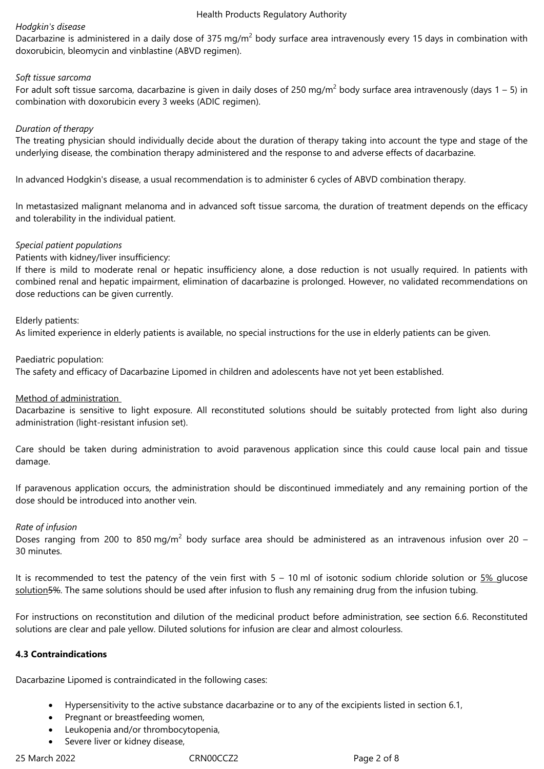#### *Hodgkin's disease*

Dacarbazine is administered in a daily dose of 375 mg/m<sup>2</sup> body surface area intravenously every 15 days in combination with doxorubicin, bleomycin and vinblastine (ABVD regimen).

#### *Soft tissue sarcoma*

For adult soft tissue sarcoma, dacarbazine is given in daily doses of 250 mg/m<sup>2</sup> body surface area intravenously (days 1 – 5) in combination with doxorubicin every 3 weeks (ADIC regimen).

#### *Duration of therapy*

The treating physician should individually decide about the duration of therapy taking into account the type and stage of the underlying disease, the combination therapy administered and the response to and adverse effects of dacarbazine.

In advanced Hodgkin's disease, a usual recommendation is to administer 6 cycles of ABVD combination therapy.

In metastasized malignant melanoma and in advanced soft tissue sarcoma, the duration of treatment depends on the efficacy and tolerability in the individual patient.

#### *Special patient populations*

Patients with kidney/liver insufficiency:

If there is mild to moderate renal or hepatic insufficiency alone, a dose reduction is not usually required. In patients with combined renal and hepatic impairment, elimination of dacarbazine is prolonged. However, no validated recommendations on dose reductions can be given currently.

#### Elderly patients:

As limited experience in elderly patients is available, no special instructions for the use in elderly patients can be given.

Paediatric population:

The safety and efficacy of Dacarbazine Lipomed in children and adolescents have not yet been established.

# Method of administration

Dacarbazine is sensitive to light exposure. All reconstituted solutions should be suitably protected from light also during administration (light-resistant infusion set).

Care should be taken during administration to avoid paravenous application since this could cause local pain and tissue damage.

If paravenous application occurs, the administration should be discontinued immediately and any remaining portion of the dose should be introduced into another vein.

#### *Rate of infusion*

Doses ranging from 200 to 850 mg/m<sup>2</sup> body surface area should be administered as an intravenous infusion over 20 -30 minutes.

It is recommended to test the patency of the vein first with 5 – 10 ml of isotonic sodium chloride solution or 5% glucose solution5%. The same solutions should be used after infusion to flush any remaining drug from the infusion tubing.

For instructions on reconstitution and dilution of the medicinal product before administration, see section 6.6. Reconstituted solutions are clear and pale yellow. Diluted solutions for infusion are clear and almost colourless.

# **4.3 Contraindications**

Dacarbazine Lipomed is contraindicated in the following cases:

- Hypersensitivity to the active substance dacarbazine or to any of the excipients listed in section 6.1,
- Pregnant or breastfeeding women,
- Leukopenia and/or thrombocytopenia,
- Severe liver or kidney disease,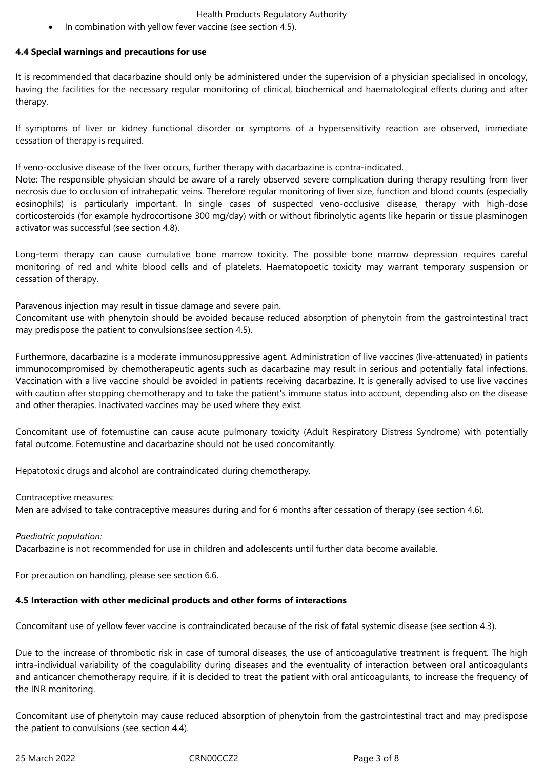In combination with yellow fever vaccine (see section 4.5).

# **4.4 Special warnings and precautions for use**

It is recommended that dacarbazine should only be administered under the supervision of a physician specialised in oncology, having the facilities for the necessary regular monitoring of clinical, biochemical and haematological effects during and after therapy.

If symptoms of liver or kidney functional disorder or symptoms of a hypersensitivity reaction are observed, immediate cessation of therapy is required.

If veno-occlusive disease of the liver occurs, further therapy with dacarbazine is contra-indicated.

Note: The responsible physician should be aware of a rarely observed severe complication during therapy resulting from liver necrosis due to occlusion of intrahepatic veins. Therefore regular monitoring of liver size, function and blood counts (especially eosinophils) is particularly important. In single cases of suspected veno-occlusive disease, therapy with high-dose corticosteroids (for example hydrocortisone 300 mg/day) with or without fibrinolytic agents like heparin or tissue plasminogen activator was successful (see section 4.8).

Long-term therapy can cause cumulative bone marrow toxicity. The possible bone marrow depression requires careful monitoring of red and white blood cells and of platelets. Haematopoetic toxicity may warrant temporary suspension or cessation of therapy.

Paravenous injection may result in tissue damage and severe pain.

Concomitant use with phenytoin should be avoided because reduced absorption of phenytoin from the gastrointestinal tract may predispose the patient to convulsions(see section 4.5).

Furthermore, dacarbazine is a moderate immunosuppressive agent. Administration of live vaccines (live-attenuated) in patients immunocompromised by chemotherapeutic agents such as dacarbazine may result in serious and potentially fatal infections. Vaccination with a live vaccine should be avoided in patients receiving dacarbazine. It is generally advised to use live vaccines with caution after stopping chemotherapy and to take the patient's immune status into account, depending also on the disease and other therapies. Inactivated vaccines may be used where they exist.

Concomitant use of fotemustine can cause acute pulmonary toxicity (Adult Respiratory Distress Syndrome) with potentially fatal outcome. Fotemustine and dacarbazine should not be used concomitantly.

Hepatotoxic drugs and alcohol are contraindicated during chemotherapy.

# Contraceptive measures:

Men are advised to take contraceptive measures during and for 6 months after cessation of therapy (see section 4.6).

# *Paediatric population:*

Dacarbazine is not recommended for use in children and adolescents until further data become available.

For precaution on handling, please see section 6.6.

# **4.5 Interaction with other medicinal products and other forms of interactions**

Concomitant use of yellow fever vaccine is contraindicated because of the risk of fatal systemic disease (see section 4.3).

Due to the increase of thrombotic risk in case of tumoral diseases, the use of anticoagulative treatment is frequent. The high intra-individual variability of the coagulability during diseases and the eventuality of interaction between oral anticoagulants and anticancer chemotherapy require, if it is decided to treat the patient with oral anticoagulants, to increase the frequency of the INR monitoring.

Concomitant use of phenytoin may cause reduced absorption of phenytoin from the gastrointestinal tract and may predispose the patient to convulsions (see section 4.4).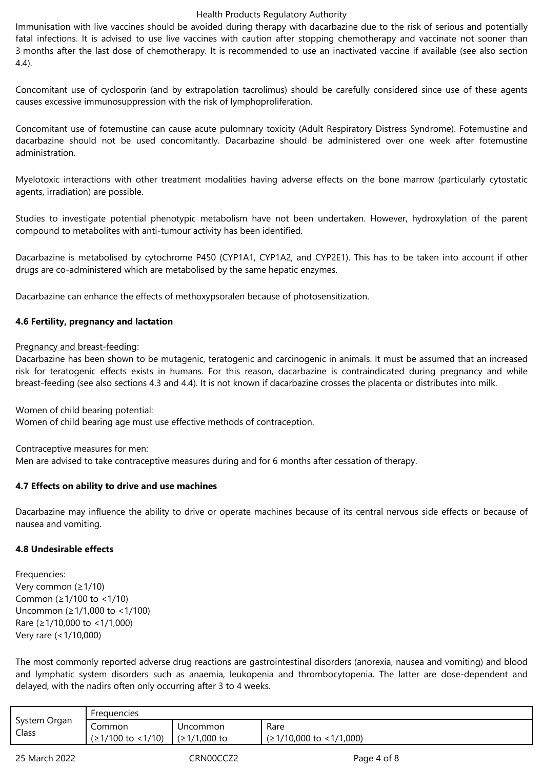Immunisation with live vaccines should be avoided during therapy with dacarbazine due to the risk of serious and potentially fatal infections. It is advised to use live vaccines with caution after stopping chemotherapy and vaccinate not sooner than 3 months after the last dose of chemotherapy. It is recommended to use an inactivated vaccine if available (see also section 4.4).

Concomitant use of cyclosporin (and by extrapolation tacrolimus) should be carefully considered since use of these agents causes excessive immunosuppression with the risk of lymphoproliferation.

Concomitant use of fotemustine can cause acute pulomnary toxicity (Adult Respiratory Distress Syndrome). Fotemustine and dacarbazine should not be used concomitantly. Dacarbazine should be administered over one week after fotemustine administration.

Myelotoxic interactions with other treatment modalities having adverse effects on the bone marrow (particularly cytostatic agents, irradiation) are possible.

Studies to investigate potential phenotypic metabolism have not been undertaken. However, hydroxylation of the parent compound to metabolites with anti-tumour activity has been identified.

Dacarbazine is metabolised by cytochrome P450 (CYP1A1, CYP1A2, and CYP2E1). This has to be taken into account if other drugs are co-administered which are metabolised by the same hepatic enzymes.

Dacarbazine can enhance the effects of methoxypsoralen because of photosensitization.

# **4.6 Fertility, pregnancy and lactation**

# Pregnancy and breast-feeding:

Dacarbazine has been shown to be mutagenic, teratogenic and carcinogenic in animals. It must be assumed that an increased risk for teratogenic effects exists in humans. For this reason, dacarbazine is contraindicated during pregnancy and while breast-feeding (see also sections 4.3 and 4.4). It is not known if dacarbazine crosses the placenta or distributes into milk.

Women of child bearing potential:

Women of child bearing age must use effective methods of contraception.

Contraceptive measures for men: Men are advised to take contraceptive measures during and for 6 months after cessation of therapy.

# **4.7 Effects on ability to drive and use machines**

Dacarbazine may influence the ability to drive or operate machines because of its central nervous side effects or because of nausea and vomiting.

# **4.8 Undesirable effects**

Frequencies: Very common (≥1/10) Common (≥1/100 to <1/10) Uncommon (≥1/1,000 to <1/100) Rare (≥1/10,000 to <1/1,000) Very rare (<1/10,000)

The most commonly reported adverse drug reactions are gastrointestinal disorders (anorexia, nausea and vomiting) and blood and lymphatic system disorders such as anaemia, leukopenia and thrombocytopenia. The latter are dose-dependent and delayed, with the nadirs often only occurring after 3 to 4 weeks.

| System Organ<br>Class | <b>Frequencies</b>  |                |                           |  |
|-----------------------|---------------------|----------------|---------------------------|--|
|                       | Common              | Uncommon       | Rare                      |  |
|                       | $(≥1/100$ to <1/10) | $(≥1/1,000$ to | $(≥1/10,000$ to <1/1,000) |  |

25 March 2022 CRN00CCZ2 Page 4 of 8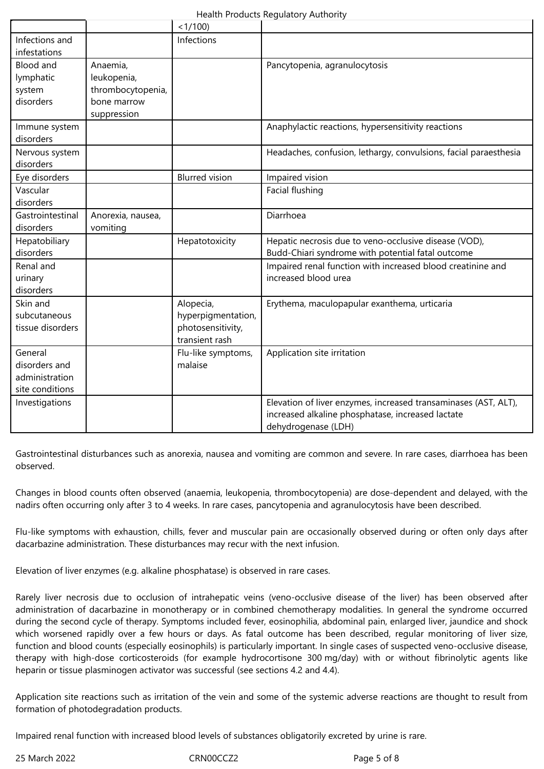|                                                               |                                                                            | <1/100                                                                 |                                                                                                                                             |
|---------------------------------------------------------------|----------------------------------------------------------------------------|------------------------------------------------------------------------|---------------------------------------------------------------------------------------------------------------------------------------------|
| Infections and<br>infestations                                |                                                                            | Infections                                                             |                                                                                                                                             |
| <b>Blood and</b><br>lymphatic<br>system<br>disorders          | Anaemia,<br>leukopenia,<br>thrombocytopenia,<br>bone marrow<br>suppression |                                                                        | Pancytopenia, agranulocytosis                                                                                                               |
| Immune system<br>disorders                                    |                                                                            |                                                                        | Anaphylactic reactions, hypersensitivity reactions                                                                                          |
| Nervous system<br>disorders                                   |                                                                            |                                                                        | Headaches, confusion, lethargy, convulsions, facial paraesthesia                                                                            |
| Eye disorders                                                 |                                                                            | <b>Blurred vision</b>                                                  | Impaired vision                                                                                                                             |
| Vascular<br>disorders                                         |                                                                            |                                                                        | Facial flushing                                                                                                                             |
| Gastrointestinal<br>disorders                                 | Anorexia, nausea,<br>vomiting                                              |                                                                        | Diarrhoea                                                                                                                                   |
| Hepatobiliary<br>disorders                                    |                                                                            | Hepatotoxicity                                                         | Hepatic necrosis due to veno-occlusive disease (VOD),<br>Budd-Chiari syndrome with potential fatal outcome                                  |
| Renal and<br>urinary<br>disorders                             |                                                                            |                                                                        | Impaired renal function with increased blood creatinine and<br>increased blood urea                                                         |
| Skin and<br>subcutaneous<br>tissue disorders                  |                                                                            | Alopecia,<br>hyperpigmentation,<br>photosensitivity,<br>transient rash | Erythema, maculopapular exanthema, urticaria                                                                                                |
| General<br>disorders and<br>administration<br>site conditions |                                                                            | Flu-like symptoms,<br>malaise                                          | Application site irritation                                                                                                                 |
| Investigations                                                |                                                                            |                                                                        | Elevation of liver enzymes, increased transaminases (AST, ALT),<br>increased alkaline phosphatase, increased lactate<br>dehydrogenase (LDH) |

Gastrointestinal disturbances such as anorexia, nausea and vomiting are common and severe. In rare cases, diarrhoea has been observed.

Changes in blood counts often observed (anaemia, leukopenia, thrombocytopenia) are dose-dependent and delayed, with the nadirs often occurring only after 3 to 4 weeks. In rare cases, pancytopenia and agranulocytosis have been described.

Flu-like symptoms with exhaustion, chills, fever and muscular pain are occasionally observed during or often only days after dacarbazine administration. These disturbances may recur with the next infusion.

Elevation of liver enzymes (e.g. alkaline phosphatase) is observed in rare cases.

Rarely liver necrosis due to occlusion of intrahepatic veins (veno-occlusive disease of the liver) has been observed after administration of dacarbazine in monotherapy or in combined chemotherapy modalities. In general the syndrome occurred during the second cycle of therapy. Symptoms included fever, eosinophilia, abdominal pain, enlarged liver, jaundice and shock which worsened rapidly over a few hours or days. As fatal outcome has been described, regular monitoring of liver size, function and blood counts (especially eosinophils) is particularly important. In single cases of suspected veno-occlusive disease, therapy with high-dose corticosteroids (for example hydrocortisone 300 mg/day) with or without fibrinolytic agents like heparin or tissue plasminogen activator was successful (see sections 4.2 and 4.4).

Application site reactions such as irritation of the vein and some of the systemic adverse reactions are thought to result from formation of photodegradation products.

Impaired renal function with increased blood levels of substances obligatorily excreted by urine is rare.

25 March 2022 CRN00CCZ2 Page 5 of 8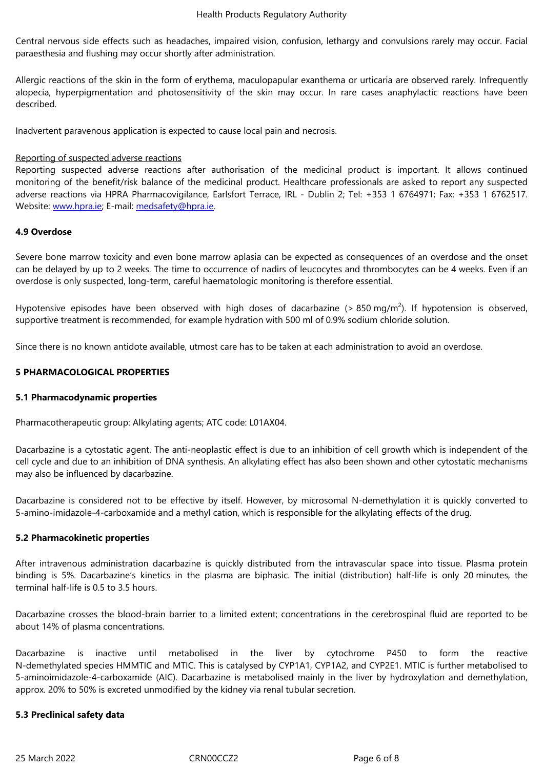Central nervous side effects such as headaches, impaired vision, confusion, lethargy and convulsions rarely may occur. Facial paraesthesia and flushing may occur shortly after administration.

Allergic reactions of the skin in the form of erythema, maculopapular exanthema or urticaria are observed rarely. Infrequently alopecia, hyperpigmentation and photosensitivity of the skin may occur. In rare cases anaphylactic reactions have been described.

Inadvertent paravenous application is expected to cause local pain and necrosis.

# Reporting of suspected adverse reactions

Reporting suspected adverse reactions after authorisation of the medicinal product is important. It allows continued monitoring of the benefit/risk balance of the medicinal product. Healthcare professionals are asked to report any suspected adverse reactions via HPRA Pharmacovigilance, Earlsfort Terrace, IRL - Dublin 2; Tel: +353 1 6764971; Fax: +353 1 6762517. Website: www.hpra.ie; E-mail: medsafety@hpra.ie.

# **4.9 Overdose**

Severe bone [marrow](http://www.hpra.ie/) toxicity and even [bone](mailto:medsafety@hpra.ie) marrow aplasia can be expected as consequences of an overdose and the onset can be delayed by up to 2 weeks. The time to occurrence of nadirs of leucocytes and thrombocytes can be 4 weeks. Even if an overdose is only suspected, long-term, careful haematologic monitoring is therefore essential.

Hypotensive episodes have been observed with high doses of dacarbazine (> 850 mg/m<sup>2</sup>). If hypotension is observed, supportive treatment is recommended, for example hydration with 500 ml of 0.9% sodium chloride solution.

Since there is no known antidote available, utmost care has to be taken at each administration to avoid an overdose.

# **5 PHARMACOLOGICAL PROPERTIES**

# **5.1 Pharmacodynamic properties**

Pharmacotherapeutic group: Alkylating agents; ATC code: L01AX04.

Dacarbazine is a cytostatic agent. The anti-neoplastic effect is due to an inhibition of cell growth which is independent of the cell cycle and due to an inhibition of DNA synthesis. An alkylating effect has also been shown and other cytostatic mechanisms may also be influenced by dacarbazine.

Dacarbazine is considered not to be effective by itself. However, by microsomal N-demethylation it is quickly converted to 5-amino-imidazole-4-carboxamide and a methyl cation, which is responsible for the alkylating effects of the drug.

# **5.2 Pharmacokinetic properties**

After intravenous administration dacarbazine is quickly distributed from the intravascular space into tissue. Plasma protein binding is 5%. Dacarbazine's kinetics in the plasma are biphasic. The initial (distribution) half-life is only 20 minutes, the terminal half-life is 0.5 to 3.5 hours.

Dacarbazine crosses the blood-brain barrier to a limited extent; concentrations in the cerebrospinal fluid are reported to be about 14% of plasma concentrations.

Dacarbazine is inactive until metabolised in the liver by cytochrome P450 to form the reactive N-demethylated species HMMTIC and MTIC. This is catalysed by CYP1A1, CYP1A2, and CYP2E1. MTIC is further metabolised to 5-aminoimidazole-4-carboxamide (AIC). Dacarbazine is metabolised mainly in the liver by hydroxylation and demethylation, approx. 20% to 50% is excreted unmodified by the kidney via renal tubular secretion.

# **5.3 Preclinical safety data**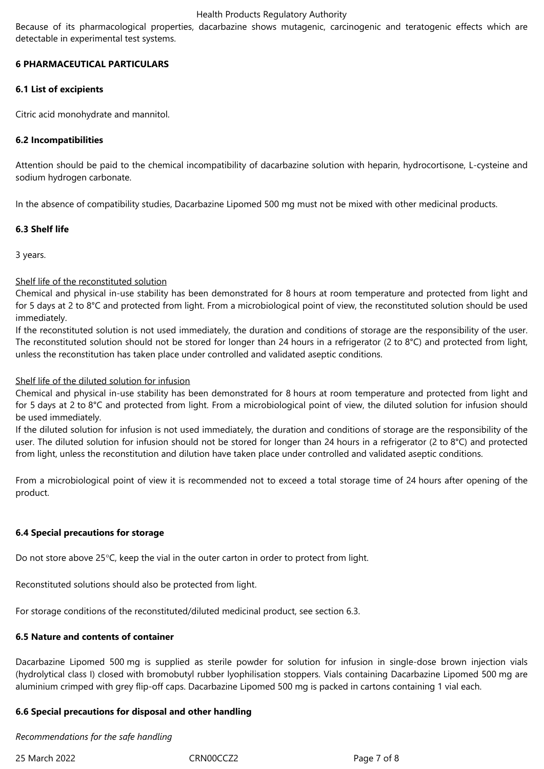Because of its pharmacological properties, dacarbazine shows mutagenic, carcinogenic and teratogenic effects which are detectable in experimental test systems.

# **6 PHARMACEUTICAL PARTICULARS**

# **6.1 List of excipients**

Citric acid monohydrate and mannitol.

# **6.2 Incompatibilities**

Attention should be paid to the chemical incompatibility of dacarbazine solution with heparin, hydrocortisone, L-cysteine and sodium hydrogen carbonate.

In the absence of compatibility studies, Dacarbazine Lipomed 500 mg must not be mixed with other medicinal products.

# **6.3 Shelf life**

3 years.

# Shelf life of the reconstituted solution

Chemical and physical in-use stability has been demonstrated for 8 hours at room temperature and protected from light and for 5 days at 2 to 8°C and protected from light. From a microbiological point of view, the reconstituted solution should be used immediately.

If the reconstituted solution is not used immediately, the duration and conditions of storage are the responsibility of the user. The reconstituted solution should not be stored for longer than 24 hours in a refrigerator (2 to 8°C) and protected from light, unless the reconstitution has taken place under controlled and validated aseptic conditions.

# Shelf life of the diluted solution for infusion

Chemical and physical in-use stability has been demonstrated for 8 hours at room temperature and protected from light and for 5 days at 2 to 8°C and protected from light. From a microbiological point of view, the diluted solution for infusion should be used immediately.

If the diluted solution for infusion is not used immediately, the duration and conditions of storage are the responsibility of the user. The diluted solution for infusion should not be stored for longer than 24 hours in a refrigerator (2 to 8°C) and protected from light, unless the reconstitution and dilution have taken place under controlled and validated aseptic conditions.

From a microbiological point of view it is recommended not to exceed a total storage time of 24 hours after opening of the product.

# **6.4 Special precautions for storage**

Do not store above 25°C, keep the vial in the outer carton in order to protect from light.

Reconstituted solutions should also be protected from light.

For storage conditions of the reconstituted/diluted medicinal product, see section 6.3.

# **6.5 Nature and contents of container**

Dacarbazine Lipomed 500 mg is supplied as sterile powder for solution for infusion in single-dose brown injection vials (hydrolytical class I) closed with bromobutyl rubber lyophilisation stoppers. Vials containing Dacarbazine Lipomed 500 mg are aluminium crimped with grey flip-off caps. Dacarbazine Lipomed 500 mg is packed in cartons containing 1 vial each.

# **6.6 Special precautions for disposal and other handling**

*Recommendations for the safe handling*

25 March 2022 CRN00CCZ2 Page 7 of 8